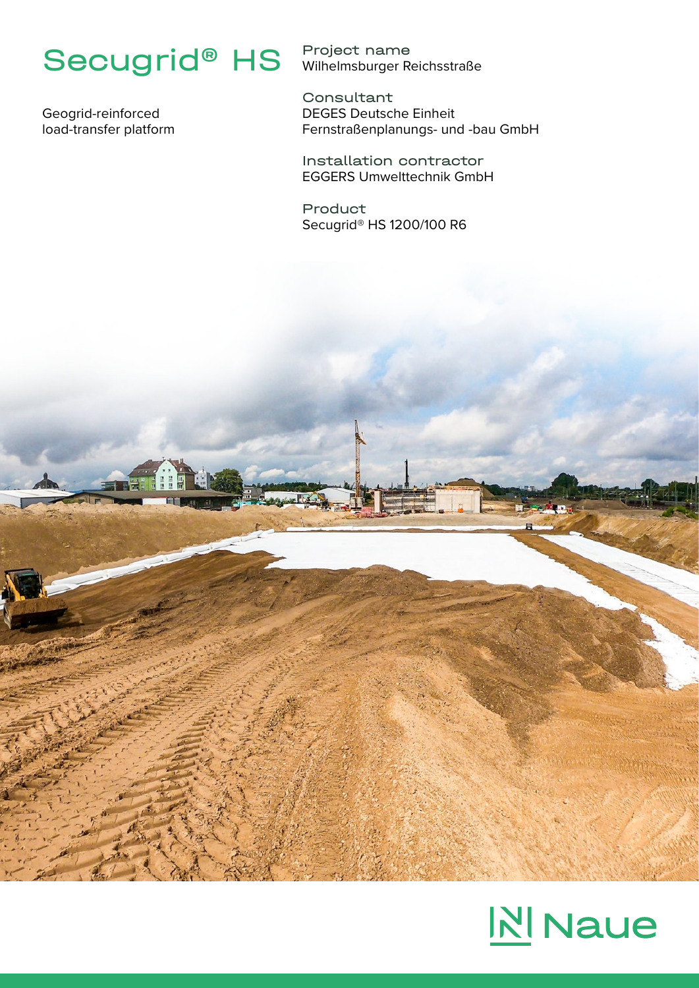## Secugrid® HS

Geogrid-reinforced load-transfer platform

Project name Wilhelmsburger Reichsstraße

Consultant DEGES Deutsche Einheit Fernstraßenplanungs- und -bau GmbH

Installation contractor EGGERS Umwelttechnik GmbH

Product Secugrid® HS 1200/100 R6